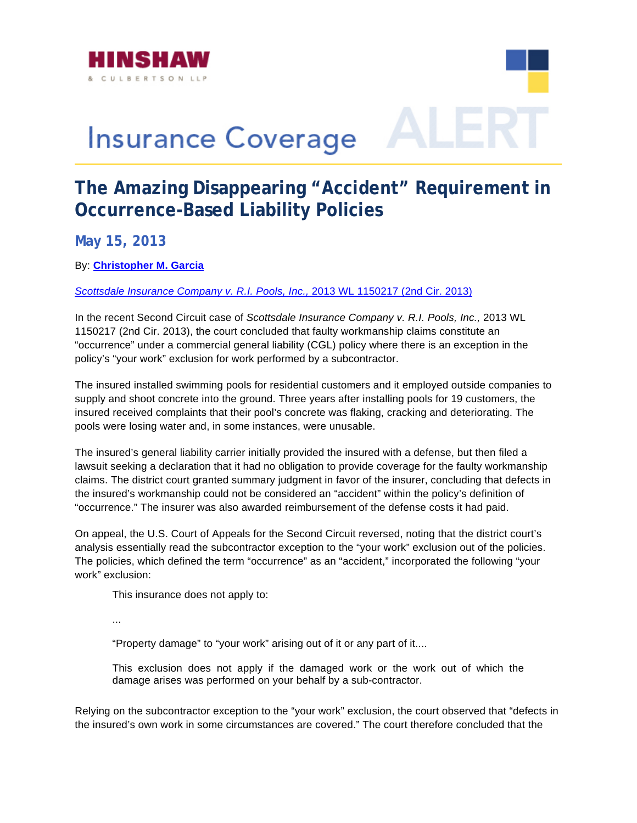

## **Insurance Coverage**

## **The Amazing Disappearing "Accident" Requirement in Occurrence-Based Liability Policies**

**May 15, 2013** 

By: **[Christopher M. Garcia](www.hinshawlaw.com/cgarcia)**

*[Scottsdale Insurance Company v. R.I. Pools, Inc.,](http://www.hinshawlaw.com/files/upload/ScottsdaleInsurance.pdf)* 2013 WL 1150217 (2nd Cir. 2013)

In the recent Second Circuit case of *Scottsdale Insurance Company v. R.I. Pools, Inc.,* 2013 WL 1150217 (2nd Cir. 2013), the court concluded that faulty workmanship claims constitute an "occurrence" under a commercial general liability (CGL) policy where there is an exception in the policy's "your work" exclusion for work performed by a subcontractor.

The insured installed swimming pools for residential customers and it employed outside companies to supply and shoot concrete into the ground. Three years after installing pools for 19 customers, the insured received complaints that their pool's concrete was flaking, cracking and deteriorating. The pools were losing water and, in some instances, were unusable.

lawsuit seeking a declaration that it had no obligation to provide coverage for the faulty workmanship claims. The district court granted summary judgment in favor of the insurer, concluding that defects in The insured's general liability carrier initially provided the insured with a defense, but then filed a the insured's workmanship could not be considered an "accident" within the policy's definition of "occurrence." The insurer was also awarded reimbursement of the defense costs it had paid.

On appeal, the U.S. Court of Appeals for the Second Circuit reversed, noting that the district court's analysis essentially read the subcontractor exception to the "your work" exclusion out of the policies. The policies, which defined the term "occurrence" as an "accident," incorporated the following "your work" exclusion:

This insurance does not apply to:

...

"Property damage" to "your work" arising out of it or any part of it....

This exclusion does not apply if the damaged work or the work out of which the damage arises was performed on your behalf by a sub-contractor.

Relying on the subcontractor exception to the "your work" exclusion, the court observed that "defects in the insured's own work in some circumstances are covered." The court therefore concluded that the